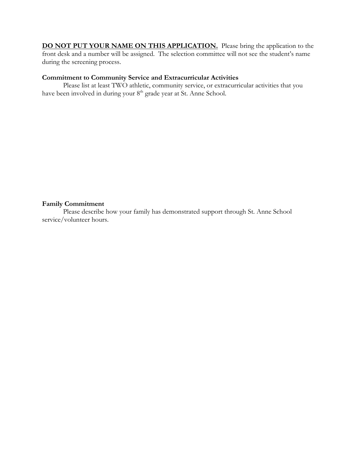**DO NOT PUT YOUR NAME ON THIS APPLICATION.** Please bring the application to the front desk and a number will be assigned. The selection committee will not see the student's name during the screening process.

### **Commitment to Community Service and Extracurricular Activities**

Please list at least TWO athletic, community service, or extracurricular activities that you have been involved in during your 8<sup>th</sup> grade year at St. Anne School.

#### **Family Commitment**

Please describe how your family has demonstrated support through St. Anne School service/volunteer hours.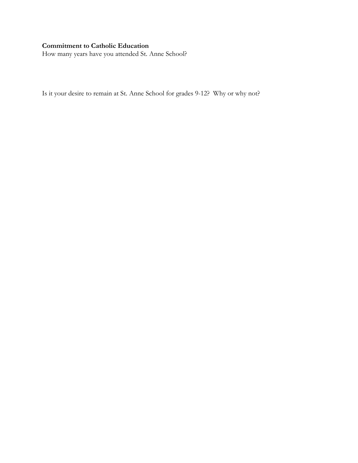# **Commitment to Catholic Education**

How many years have you attended St. Anne School?

Is it your desire to remain at St. Anne School for grades 9-12? Why or why not?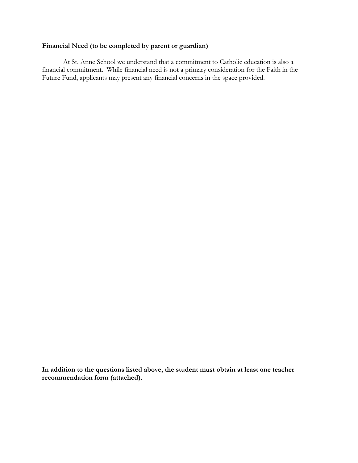# **Financial Need (to be completed by parent or guardian)**

At St. Anne School we understand that a commitment to Catholic education is also a financial commitment. While financial need is not a primary consideration for the Faith in the Future Fund, applicants may present any financial concerns in the space provided.

**In addition to the questions listed above, the student must obtain at least one teacher recommendation form (attached).**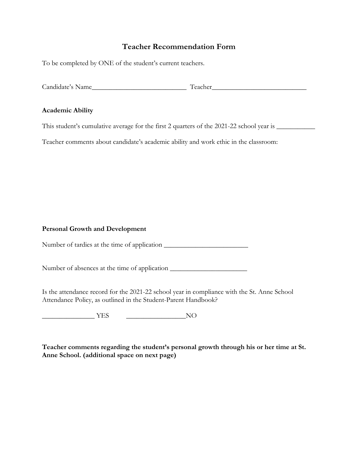# **Teacher Recommendation Form**

To be completed by ONE of the student's current teachers.

Candidate's Name\_\_\_\_\_\_\_\_\_\_\_\_\_\_\_\_\_\_\_\_\_\_\_\_\_\_\_ Teacher\_\_\_\_\_\_\_\_\_\_\_\_\_\_\_\_\_\_\_\_\_\_\_\_\_\_\_

#### **Academic Ability**

This student's cumulative average for the first 2 quarters of the 2021-22 school year is \_\_\_\_\_\_\_\_\_\_\_\_\_\_\_\_\_\_\_\_\_

Teacher comments about candidate's academic ability and work ethic in the classroom:

### **Personal Growth and Development**

Number of tardies at the time of application \_\_\_\_\_\_\_\_\_\_\_\_\_\_\_\_\_\_\_\_\_\_\_\_

Number of absences at the time of application \_\_\_\_\_\_\_\_\_\_\_\_\_\_\_\_\_\_\_\_\_\_\_\_\_\_\_\_\_\_\_\_\_\_

Is the attendance record for the 2021-22 school year in compliance with the St. Anne School Attendance Policy, as outlined in the Student-Parent Handbook?

\_\_\_\_\_\_\_\_\_\_\_\_\_\_\_ YES \_\_\_\_\_\_\_\_\_\_\_\_\_\_\_\_\_NO

**Teacher comments regarding the student's personal growth through his or her time at St. Anne School. (additional space on next page)**